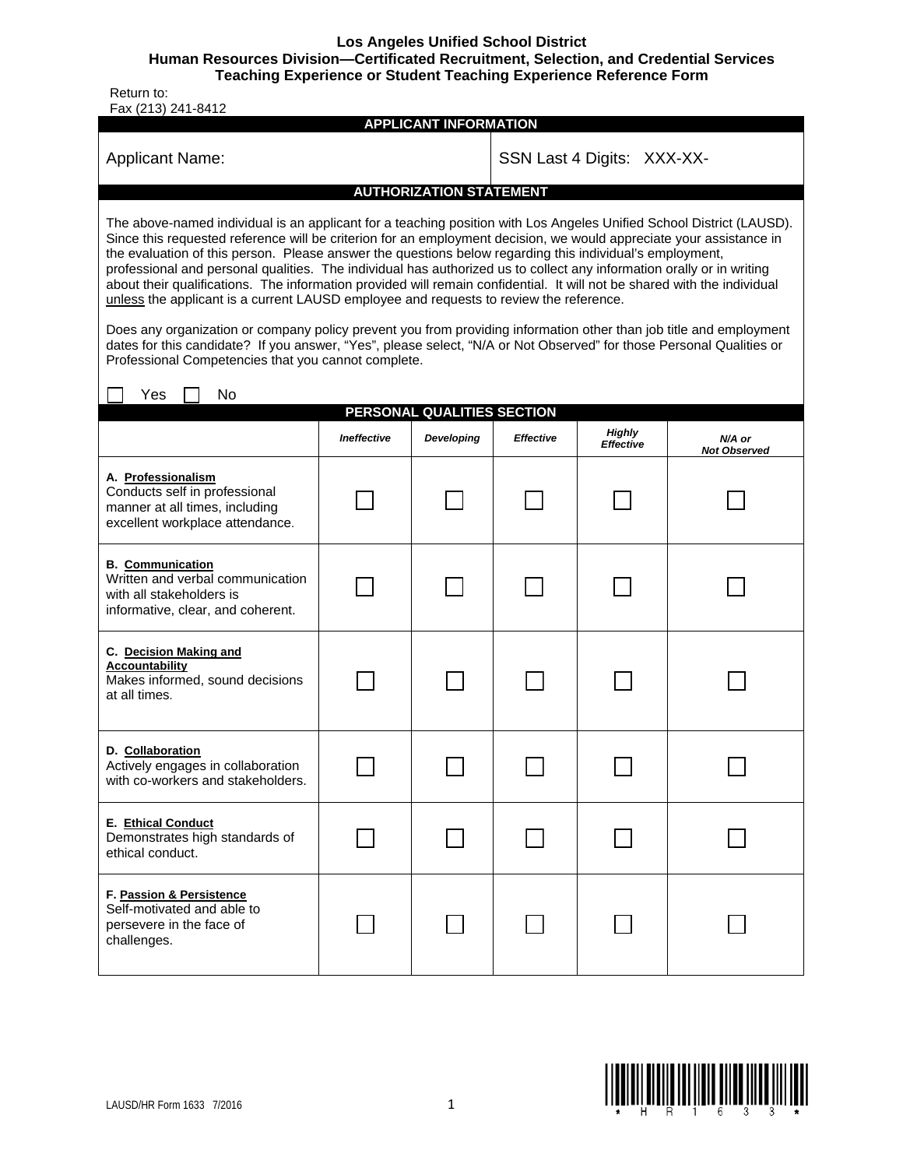**Los Angeles Unified School District** 

**Human Resources Division—Certificated Recruitment, Selection, and Credential Services** 

**Teaching Experience or Student Teaching Experience Reference Form** 

 Return to: Fax (213) 241-8412

| (40)<br><b>APPLICANT INFORMATION</b>                                                                                                                                                                                                                                                                                                                                                                                                                                                                                                                                                                                                                                                                                                                                                                                                                                                                                                                                                                        |                            |            |                  |                     |                               |  |  |  |  |  |
|-------------------------------------------------------------------------------------------------------------------------------------------------------------------------------------------------------------------------------------------------------------------------------------------------------------------------------------------------------------------------------------------------------------------------------------------------------------------------------------------------------------------------------------------------------------------------------------------------------------------------------------------------------------------------------------------------------------------------------------------------------------------------------------------------------------------------------------------------------------------------------------------------------------------------------------------------------------------------------------------------------------|----------------------------|------------|------------------|---------------------|-------------------------------|--|--|--|--|--|
| <b>Applicant Name:</b>                                                                                                                                                                                                                                                                                                                                                                                                                                                                                                                                                                                                                                                                                                                                                                                                                                                                                                                                                                                      | SSN Last 4 Digits: XXX-XX- |            |                  |                     |                               |  |  |  |  |  |
| <b>AUTHORIZATION STATEMENT</b>                                                                                                                                                                                                                                                                                                                                                                                                                                                                                                                                                                                                                                                                                                                                                                                                                                                                                                                                                                              |                            |            |                  |                     |                               |  |  |  |  |  |
| The above-named individual is an applicant for a teaching position with Los Angeles Unified School District (LAUSD).<br>Since this requested reference will be criterion for an employment decision, we would appreciate your assistance in<br>the evaluation of this person. Please answer the questions below regarding this individual's employment,<br>professional and personal qualities. The individual has authorized us to collect any information orally or in writing<br>about their qualifications. The information provided will remain confidential. It will not be shared with the individual<br>unless the applicant is a current LAUSD employee and requests to review the reference.<br>Does any organization or company policy prevent you from providing information other than job title and employment<br>dates for this candidate? If you answer, "Yes", please select, "N/A or Not Observed" for those Personal Qualities or<br>Professional Competencies that you cannot complete. |                            |            |                  |                     |                               |  |  |  |  |  |
| Yes<br>No                                                                                                                                                                                                                                                                                                                                                                                                                                                                                                                                                                                                                                                                                                                                                                                                                                                                                                                                                                                                   |                            |            |                  |                     |                               |  |  |  |  |  |
| PERSONAL QUALITIES SECTION                                                                                                                                                                                                                                                                                                                                                                                                                                                                                                                                                                                                                                                                                                                                                                                                                                                                                                                                                                                  |                            |            |                  |                     |                               |  |  |  |  |  |
|                                                                                                                                                                                                                                                                                                                                                                                                                                                                                                                                                                                                                                                                                                                                                                                                                                                                                                                                                                                                             | Ineffective                | Developing | <b>Effective</b> | Highly<br>Effective | N/A or<br><b>Not Observed</b> |  |  |  |  |  |
| A. Professionalism<br>Conducts self in professional<br>manner at all times, including<br>excellent workplace attendance.                                                                                                                                                                                                                                                                                                                                                                                                                                                                                                                                                                                                                                                                                                                                                                                                                                                                                    |                            |            |                  |                     |                               |  |  |  |  |  |
| <b>B.</b> Communication<br>Written and verbal communication<br>with all stakeholders is<br>informative, clear, and coherent.                                                                                                                                                                                                                                                                                                                                                                                                                                                                                                                                                                                                                                                                                                                                                                                                                                                                                |                            |            |                  |                     |                               |  |  |  |  |  |
| C. Decision Making and<br><b>Accountability</b><br>Makes informed, sound decisions<br>at all times.                                                                                                                                                                                                                                                                                                                                                                                                                                                                                                                                                                                                                                                                                                                                                                                                                                                                                                         |                            |            |                  |                     |                               |  |  |  |  |  |
| D. Collaboration<br>Actively engages in collaboration<br>with co-workers and stakeholders.                                                                                                                                                                                                                                                                                                                                                                                                                                                                                                                                                                                                                                                                                                                                                                                                                                                                                                                  |                            |            |                  |                     |                               |  |  |  |  |  |
| E. Ethical Conduct<br>Demonstrates high standards of<br>ethical conduct.                                                                                                                                                                                                                                                                                                                                                                                                                                                                                                                                                                                                                                                                                                                                                                                                                                                                                                                                    |                            |            |                  |                     |                               |  |  |  |  |  |
| F. Passion & Persistence<br>Self-motivated and able to<br>persevere in the face of<br>challenges.                                                                                                                                                                                                                                                                                                                                                                                                                                                                                                                                                                                                                                                                                                                                                                                                                                                                                                           |                            |            |                  |                     |                               |  |  |  |  |  |